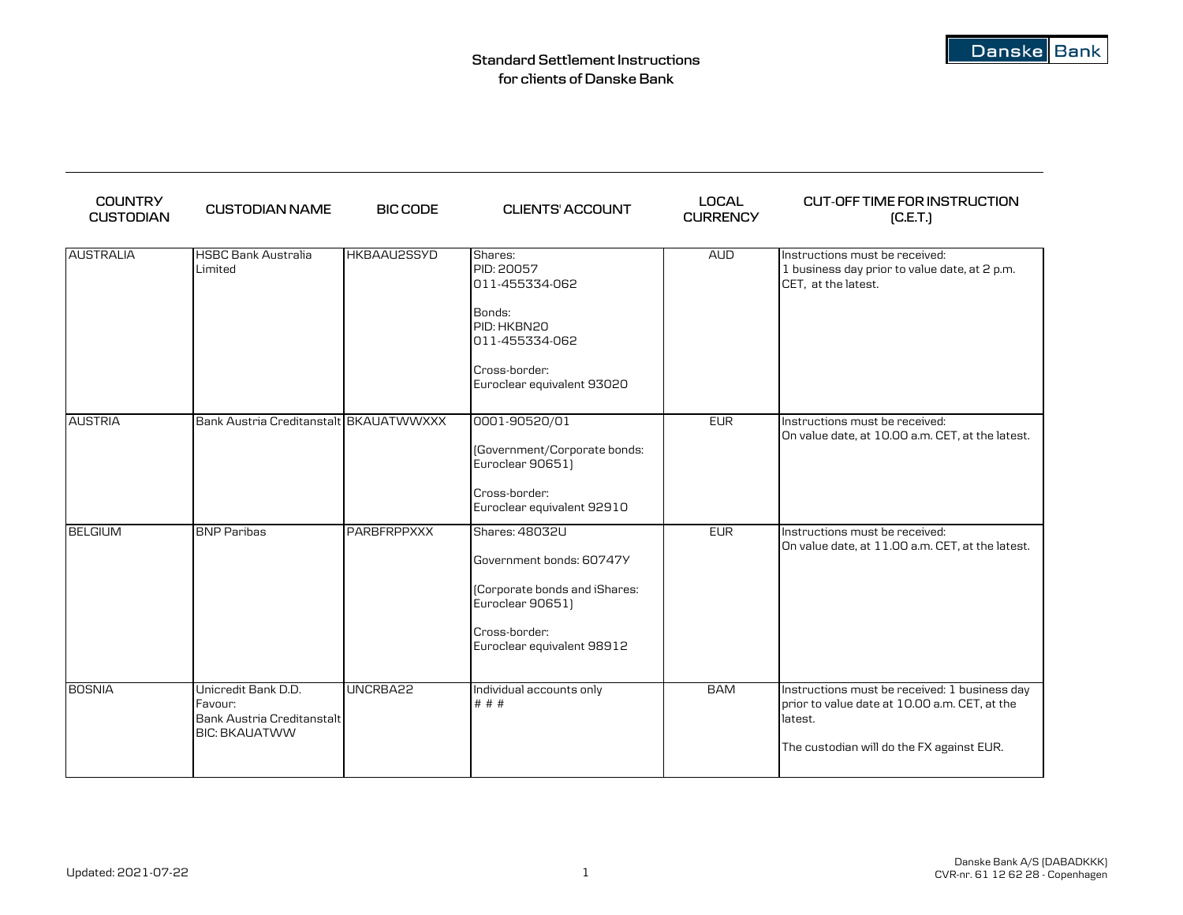| <b>COUNTRY</b><br><b>CUSTODIAN</b> | <b>CUSTODIAN NAME</b>                                                                | <b>BIC CODE</b>    | <b>CLIENTS' ACCOUNT</b>                                                                                                                        | <b>LOCAL</b><br><b>CURRENCY</b> | <b>CUT-OFF TIME FOR INSTRUCTION</b><br>[C.E.T.]                                                                                                        |
|------------------------------------|--------------------------------------------------------------------------------------|--------------------|------------------------------------------------------------------------------------------------------------------------------------------------|---------------------------------|--------------------------------------------------------------------------------------------------------------------------------------------------------|
| <b>AUSTRALIA</b>                   | <b>HSBC Bank Australia</b><br>Limited                                                | HKBAAU2SSYD        | Shares:<br>PID: 20057<br>011-455334-062<br>Bonds:<br>PID: HKBN20<br>011-455334-062<br>Cross-border:<br>Euroclear equivalent 93020              | <b>AUD</b>                      | Instructions must be received:<br>1 business day prior to value date, at 2 p.m.<br>CET, at the latest.                                                 |
| <b>AUSTRIA</b>                     | Bank Austria Creditanstalt BKAUATWWXXX                                               |                    | 0001-90520/01<br>(Government/Corporate bonds:<br>Euroclear 90651)<br>Cross-border:<br>Euroclear equivalent 92910                               | <b>EUR</b>                      | Instructions must be received:<br>On value date, at 10.00 a.m. CET, at the latest.                                                                     |
| <b>BELGIUM</b>                     | <b>BNP Paribas</b>                                                                   | <b>PARBFRPPXXX</b> | Shares: 48032U<br>Government bonds: 60747Y<br>(Corporate bonds and iShares:<br>Euroclear 90651)<br>Cross-border:<br>Euroclear equivalent 98912 | <b>EUR</b>                      | Instructions must be received:<br>On value date, at 11.00 a.m. CET, at the latest.                                                                     |
| <b>BOSNIA</b>                      | Unicredit Bank D.D.<br>Favour:<br>Bank Austria Creditanstalt<br><b>BIC: BKAUATWW</b> | UNCRBA22           | Individual accounts only<br># # #                                                                                                              | <b>BAM</b>                      | Instructions must be received: 1 business day<br>prior to value date at 10.00 a.m. CET, at the<br>latest.<br>The custodian will do the FX against EUR. |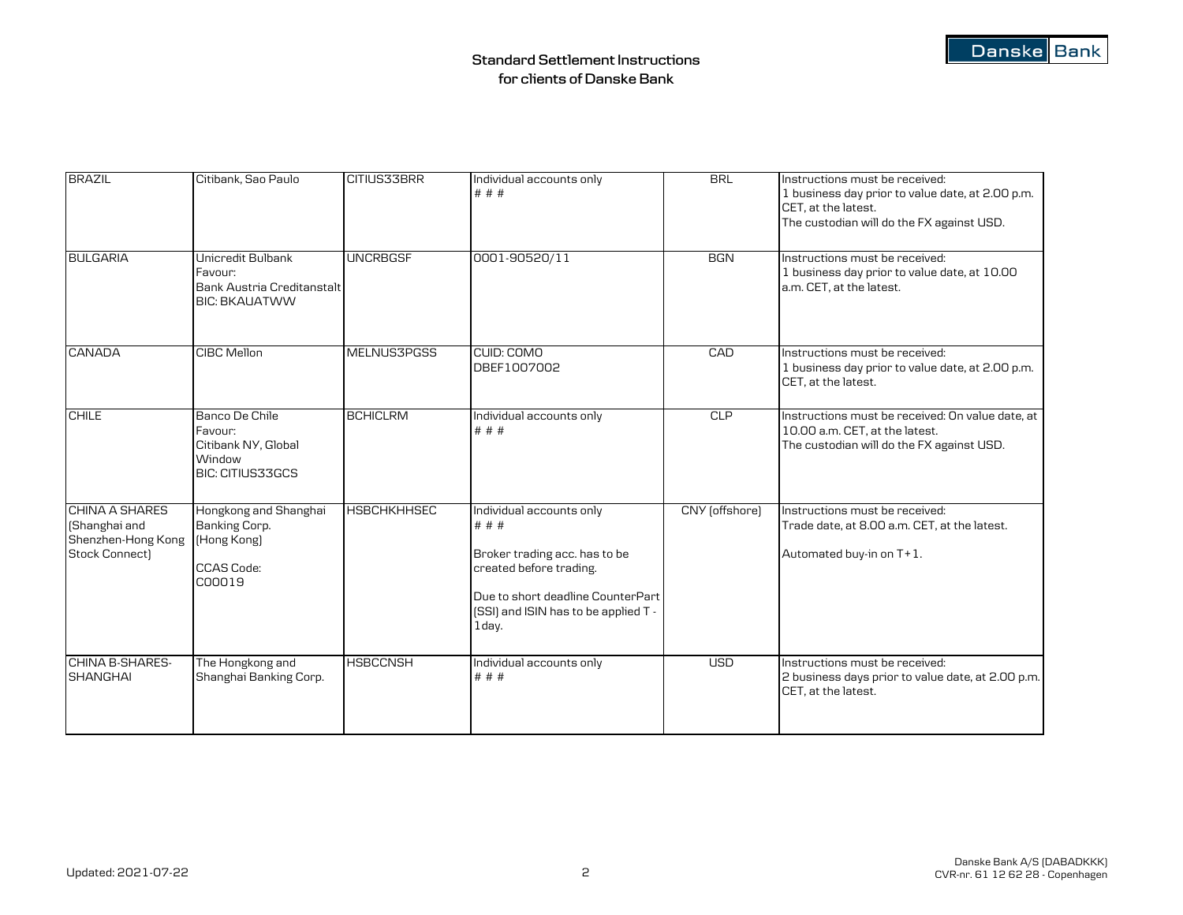| <b>BRAZIL</b>                                                                                     | Citibank, Sao Paulo                                                                | CITIUS33BRR        | Individual accounts only<br># # #                                                                                                                                                    | <b>BRL</b>     | Instructions must be received:<br>1 business day prior to value date, at 2.00 p.m.<br>CET. at the latest.<br>The custodian will do the FX against USD. |
|---------------------------------------------------------------------------------------------------|------------------------------------------------------------------------------------|--------------------|--------------------------------------------------------------------------------------------------------------------------------------------------------------------------------------|----------------|--------------------------------------------------------------------------------------------------------------------------------------------------------|
| <b>BULGARIA</b>                                                                                   | Unicredit Bulbank<br>Favour:<br>Bank Austria Creditanstalt<br><b>BIC: BKAUATWW</b> | <b>UNCRBGSF</b>    | 0001-90520/11                                                                                                                                                                        | <b>BGN</b>     | Instructions must be received:<br>1 business day prior to value date, at 10.00<br>a.m. CET, at the latest.                                             |
| <b>CANADA</b>                                                                                     | <b>CIBC Mellon</b>                                                                 | <b>MELNUS3PGSS</b> | CUID: COMO<br>DBEF1007002                                                                                                                                                            | CAD            | Instructions must be received:<br>1 business day prior to value date, at 2.00 p.m.<br>CET. at the latest.                                              |
| <b>CHILE</b>                                                                                      | Banco De Chile<br>Favour:<br>Citibank NY, Global<br>Window<br>BIC: CITIUS33GCS     | <b>BCHICLRM</b>    | Individual accounts only<br># # #                                                                                                                                                    | CLP            | Instructions must be received: On value date, at<br>10.00 a.m. CET, at the latest.<br>The custodian will do the FX against USD.                        |
| <b>CHINA A SHARES</b><br>(Shanghai and<br>Shenzhen-Hong Kong [Hong Kong]<br><b>Stock Connect)</b> | Hongkong and Shanghai<br>Banking Corp.<br><b>CCAS Code:</b><br>C00019              | <b>HSBCHKHHSEC</b> | Individual accounts only<br># # #<br>Broker trading acc. has to be<br>created before trading.<br>Due to short deadline CounterPart<br>[SSI] and ISIN has to be applied T -<br>1 day. | CNY (offshore) | Instructions must be received:<br>Trade date, at 8.00 a.m. CET, at the latest.<br>Automated buy-in on T+1.                                             |
| CHINA B-SHARES-<br><b>SHANGHAI</b>                                                                | The Hongkong and<br>Shanghai Banking Corp.                                         | <b>HSBCCNSH</b>    | Individual accounts only<br># # #                                                                                                                                                    | <b>USD</b>     | Instructions must be received:<br>2 business days prior to value date, at 2.00 p.m.<br>CET, at the latest.                                             |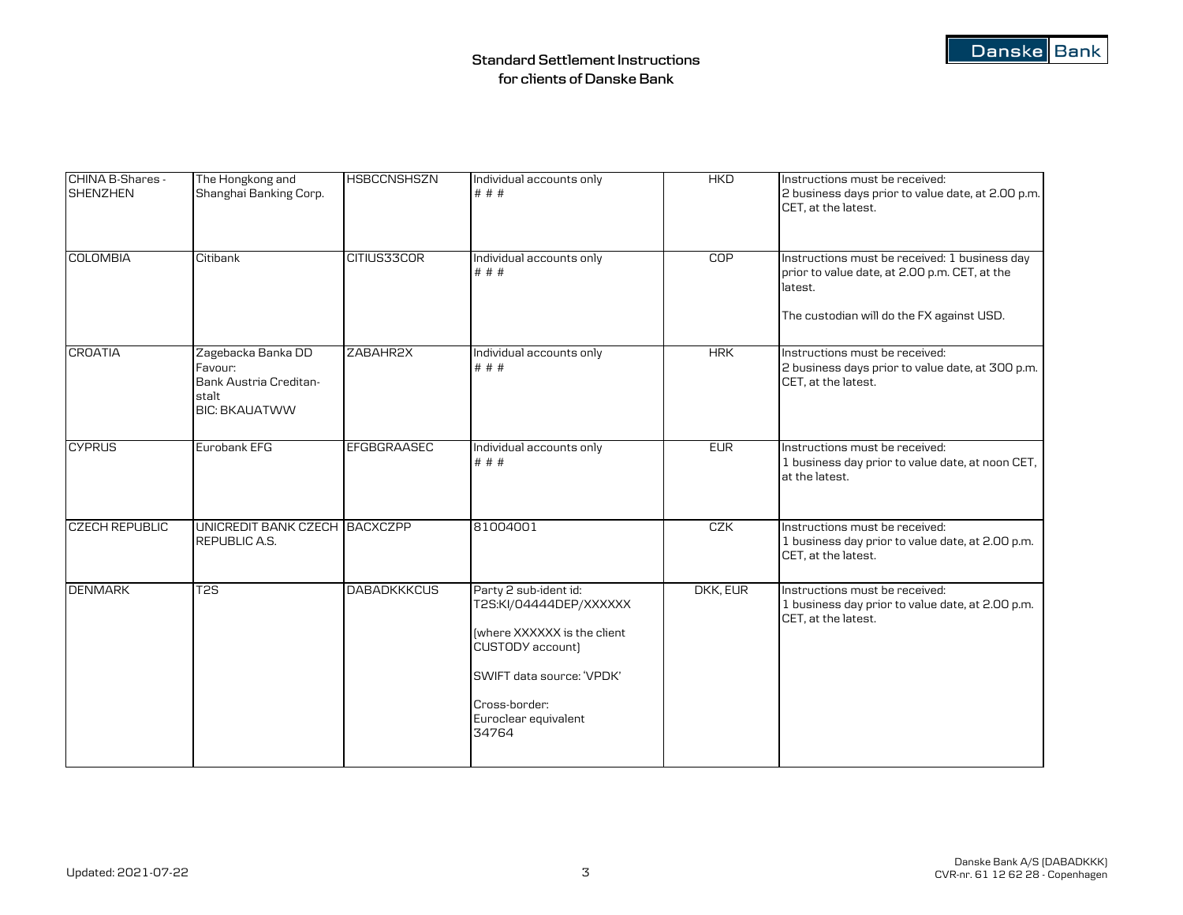| CHINA B-Shares -<br><b>SHENZHEN</b> | The Hongkong and<br>Shanghai Banking Corp.                                               | <b>HSBCCNSHSZN</b> | Individual accounts only<br># # #                                                                                                                                                 | <b>HKD</b> | Instructions must be received:<br>2 business days prior to value date, at 2.00 p.m.<br>CET. at the latest. |
|-------------------------------------|------------------------------------------------------------------------------------------|--------------------|-----------------------------------------------------------------------------------------------------------------------------------------------------------------------------------|------------|------------------------------------------------------------------------------------------------------------|
| <b>COLOMBIA</b>                     | Citibank                                                                                 | CITIUS33COR        | Individual accounts only<br># # #                                                                                                                                                 | COP        | Instructions must be received: 1 business day<br>prior to value date, at 2.00 p.m. CET, at the<br>latest.  |
|                                     |                                                                                          |                    |                                                                                                                                                                                   |            | The custodian will do the FX against USD.                                                                  |
| <b>CROATIA</b>                      | Zagebacka Banka DD<br>Favour:<br>Bank Austria Creditan-<br>stalt<br><b>BIC: BKAUATWW</b> | ZABAHR2X           | Individual accounts only<br># # #                                                                                                                                                 | <b>HRK</b> | Instructions must be received:<br>2 business days prior to value date, at 300 p.m.<br>CET. at the latest.  |
| <b>CYPRUS</b>                       | Eurobank EFG                                                                             | EFGBGRAASEC        | Individual accounts only<br># # #                                                                                                                                                 | <b>EUR</b> | Instructions must be received:<br>1 business day prior to value date, at noon CET,<br>at the latest.       |
| <b>CZECH REPUBLIC</b>               | UNICREDIT BANK CZECH BACXCZPP<br>REPUBLIC A.S.                                           |                    | 81004001                                                                                                                                                                          | CZK        | Instructions must be received:<br>1 business day prior to value date, at 2.00 p.m.<br>CET, at the latest.  |
| <b>DENMARK</b>                      | T <sub>2</sub> S                                                                         | <b>DABADKKKCUS</b> | Party 2 sub-ident id:<br>T2S:KI/04444DEP/XXXXXX<br>fwhere XXXXXX is the client<br>CUSTODY account)<br>SWIFT data source: 'VPDK'<br>Cross-border:<br>Euroclear equivalent<br>34764 | DKK, EUR   | Instructions must be received:<br>1 business day prior to value date, at 2.00 p.m.<br>CET, at the latest.  |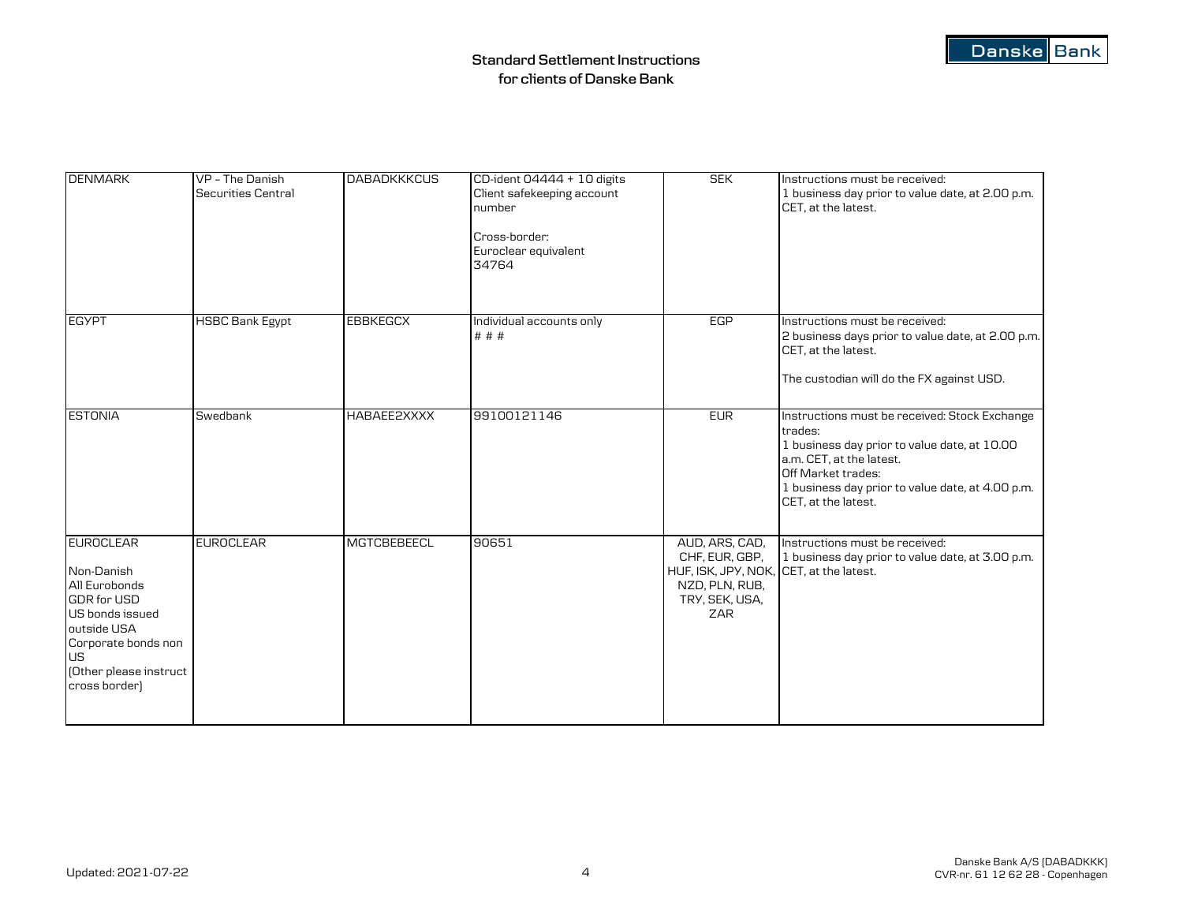| <b>DENMARK</b>                                                                                                                                                                  | VP - The Danish<br>Securities Central | <b>DABADKKKCUS</b> | CD-ident 04444 + 10 digits<br>Client safekeeping account<br>number<br>Cross-border:<br>Euroclear equivalent<br>34764 | <b>SEK</b>                                                                                                             | Instructions must be received:<br>1 business day prior to value date, at 2.00 p.m.<br>CET, at the latest.                                                                                                                             |
|---------------------------------------------------------------------------------------------------------------------------------------------------------------------------------|---------------------------------------|--------------------|----------------------------------------------------------------------------------------------------------------------|------------------------------------------------------------------------------------------------------------------------|---------------------------------------------------------------------------------------------------------------------------------------------------------------------------------------------------------------------------------------|
| <b>EGYPT</b>                                                                                                                                                                    | <b>HSBC Bank Egypt</b>                | <b>EBBKEGCX</b>    | Individual accounts only<br># # #                                                                                    | EGP                                                                                                                    | Instructions must be received:<br>2 business days prior to value date, at 2.00 p.m.<br>CET, at the latest.<br>The custodian will do the FX against USD.                                                                               |
| <b>ESTONIA</b>                                                                                                                                                                  | Swedbank                              | HABAEE2XXXX        | 99100121146                                                                                                          | <b>EUR</b>                                                                                                             | Instructions must be received: Stock Exchange<br>trades:<br>1 business day prior to value date, at 10.00<br>a.m. CET, at the latest.<br>Off Market trades:<br>1 business day prior to value date, at 4.00 p.m.<br>CET, at the latest. |
| <b>EUROCLEAR</b><br>Non-Danish<br>All Eurobonds<br><b>GDR</b> for USD<br>US bonds issued<br>outside USA<br>Corporate bonds non<br>US<br>(Other please instruct<br>cross border) | <b>EUROCLEAR</b>                      | <b>MGTCBEBEECL</b> | 90651                                                                                                                | AUD, ARS, CAD,<br>CHF, EUR, GBP,<br>HUF, ISK, JPY, NOK, CET, at the latest.<br>NZD, PLN, RUB,<br>TRY, SEK, USA,<br>ZAR | Instructions must be received:<br>1 business day prior to value date, at 3.00 p.m.                                                                                                                                                    |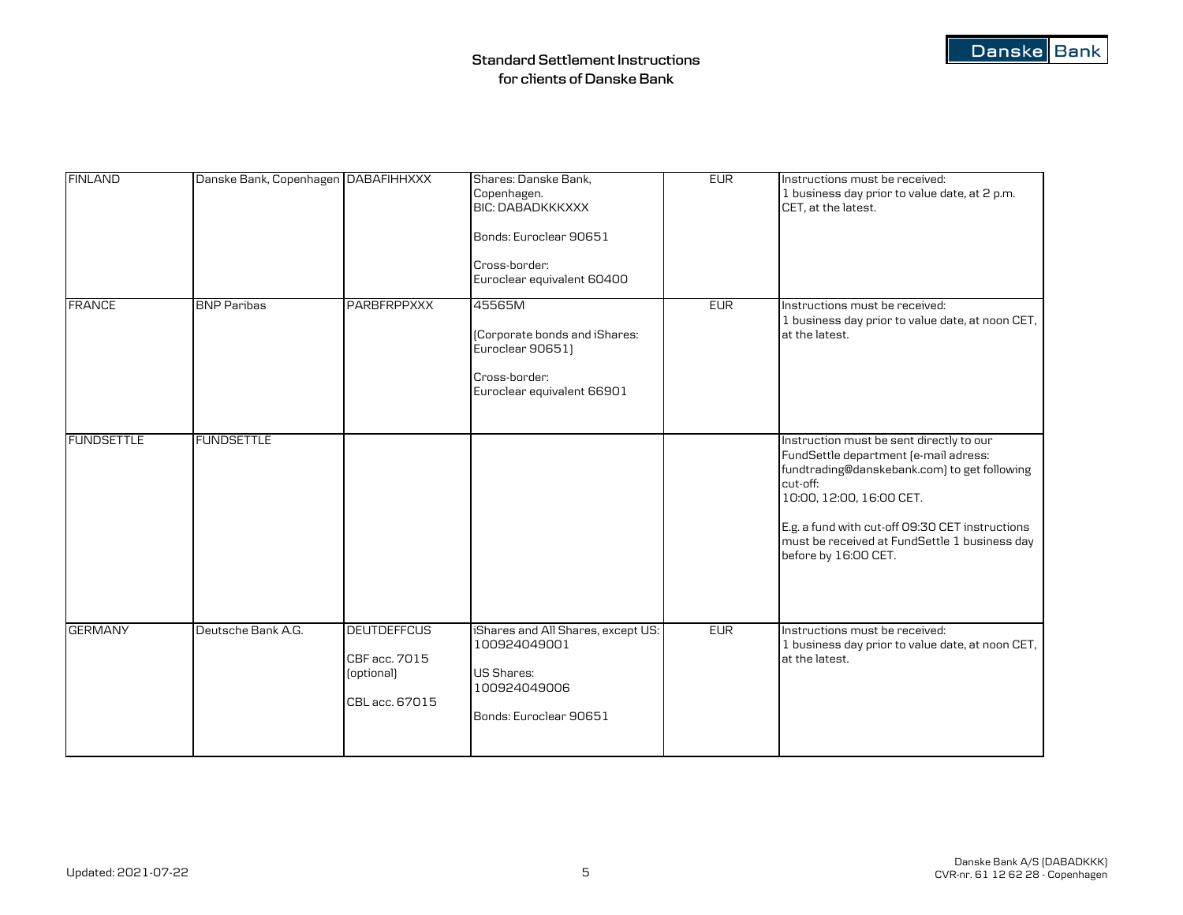| <b>FINLAND</b>    | Danske Bank, Copenhagen DABAFIHHXXX |                                                                     | Shares: Danske Bank,<br>Copenhagen.<br><b>BIC: DABADKKKXXX</b><br>Bonds: Euroclear 90651<br>Cross-border:<br>Euroclear equivalent 60400 | <b>EUR</b> | Instructions must be received:<br>1 business day prior to value date, at 2 p.m.<br>CET, at the latest.                                                                                                                                                                                                |
|-------------------|-------------------------------------|---------------------------------------------------------------------|-----------------------------------------------------------------------------------------------------------------------------------------|------------|-------------------------------------------------------------------------------------------------------------------------------------------------------------------------------------------------------------------------------------------------------------------------------------------------------|
| <b>FRANCE</b>     | <b>BNP Paribas</b>                  | <b>PARBFRPPXXX</b>                                                  | 45565M<br>(Corporate bonds and iShares:<br>Euroclear 90651)<br>Cross-border:<br>Euroclear equivalent 66901                              | <b>EUR</b> | Instructions must be received:<br>1 business day prior to value date, at noon CET,<br>at the latest.                                                                                                                                                                                                  |
| <b>FUNDSETTLE</b> | <b>FUNDSETTLE</b>                   |                                                                     |                                                                                                                                         |            | Instruction must be sent directly to our<br>FundSettle department (e-mail adress:<br>fundtrading@danskebank.com) to get following<br>cut-off:<br>10:00, 12:00, 16:00 CET.<br>E.g. a fund with cut-off 09:30 CET instructions<br>must be received at FundSettle 1 business day<br>before by 16:00 CET. |
| <b>GERMANY</b>    | Deutsche Bank A.G.                  | <b>DEUTDEFFCUS</b><br>CBF acc. 7015<br>(optional)<br>CBL acc. 67015 | iShares and All Shares, except US:<br>100924049001<br>US Shares:<br>100924049006<br>Bonds: Euroclear 90651                              | <b>EUR</b> | Instructions must be received:<br>1 business day prior to value date, at noon CET,<br>at the latest.                                                                                                                                                                                                  |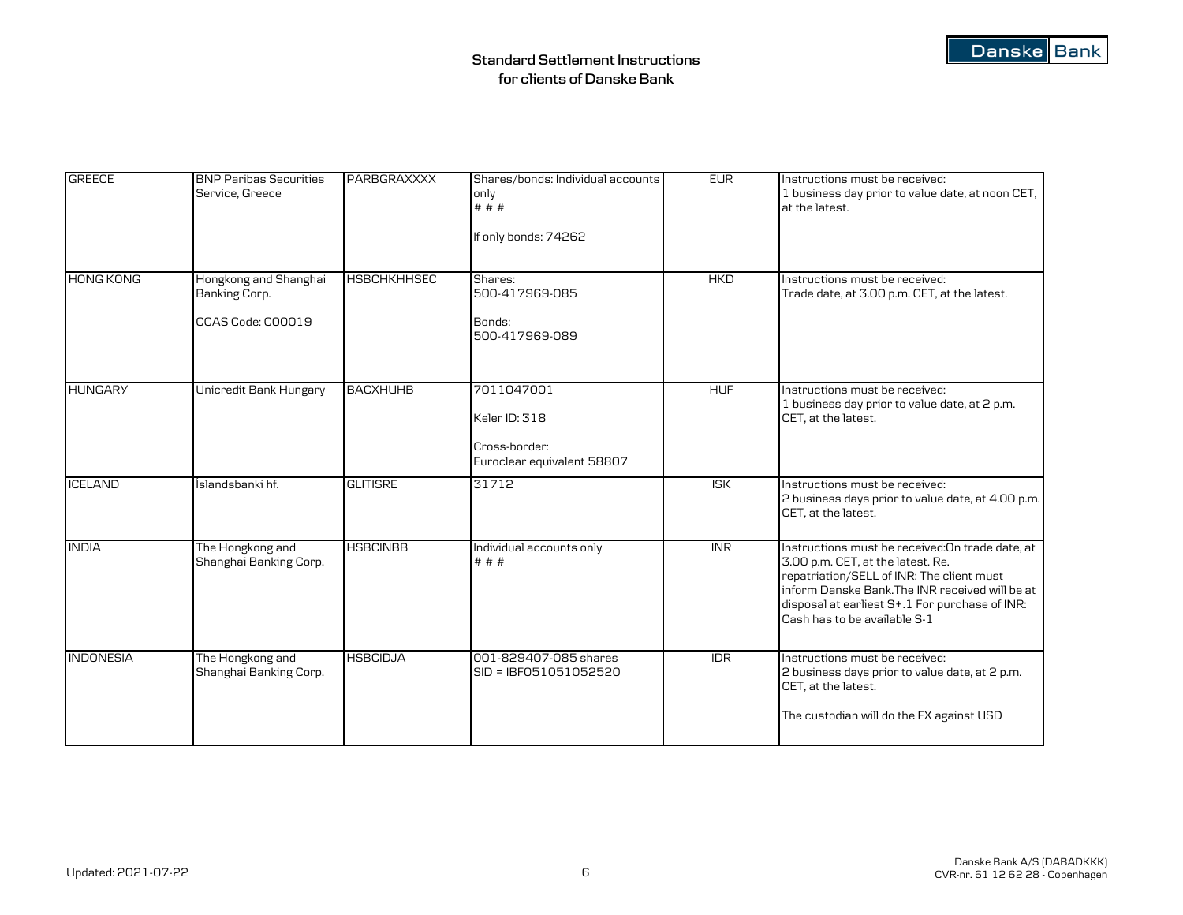| <b>GREECE</b>    | <b>BNP Paribas Securities</b><br>Service, Greece            | PARBGRAXXXX        | Shares/bonds: Individual accounts<br>only<br># # #<br>If only bonds: 74262 | <b>EUR</b>              | Instructions must be received:<br>1 business day prior to value date, at noon CET,<br>at the latest.                                                                                                                                                                    |
|------------------|-------------------------------------------------------------|--------------------|----------------------------------------------------------------------------|-------------------------|-------------------------------------------------------------------------------------------------------------------------------------------------------------------------------------------------------------------------------------------------------------------------|
| <b>HONG KONG</b> | Hongkong and Shanghai<br>Banking Corp.<br>CCAS Code: COOO19 | <b>HSBCHKHHSEC</b> | Shares:<br>500-417969-085<br>Bonds:<br>500-417969-089                      | <b>HKD</b>              | Instructions must be received:<br>Trade date, at 3.00 p.m. CET, at the latest.                                                                                                                                                                                          |
| <b>HUNGARY</b>   | Unicredit Bank Hungary                                      | <b>BACXHUHB</b>    | 7011047001<br>Keler ID: 318<br>Cross-border:<br>Euroclear equivalent 58807 | <b>HUF</b>              | Instructions must be received:<br>1 business day prior to value date, at 2 p.m.<br>CET, at the latest.                                                                                                                                                                  |
| <b>ICELAND</b>   | Íslandsbanki hf.                                            | <b>GLITISRE</b>    | 31712                                                                      | $\overline{\text{ISK}}$ | Instructions must be received:<br>2 business days prior to value date, at 4.00 p.m.<br>CET, at the latest.                                                                                                                                                              |
| <b>INDIA</b>     | The Hongkong and<br>Shanghai Banking Corp.                  | <b>HSBCINBB</b>    | Individual accounts only<br># # #                                          | <b>INR</b>              | Instructions must be received: On trade date, at<br>3.00 p.m. CET, at the latest. Re.<br>repatriation/SELL of INR: The client must<br>inform Danske Bank. The INR received will be at<br>disposal at earliest S+.1 For purchase of INR:<br>Cash has to be available S-1 |
| <b>INDONESIA</b> | The Hongkong and<br>Shanghai Banking Corp.                  | <b>HSBCIDJA</b>    | 001-829407-085 shares<br>SID = IBF051051052520                             | $\overline{IDR}$        | Instructions must be received:<br>2 business days prior to value date, at 2 p.m.<br>CET, at the latest.<br>The custodian will do the FX against USD                                                                                                                     |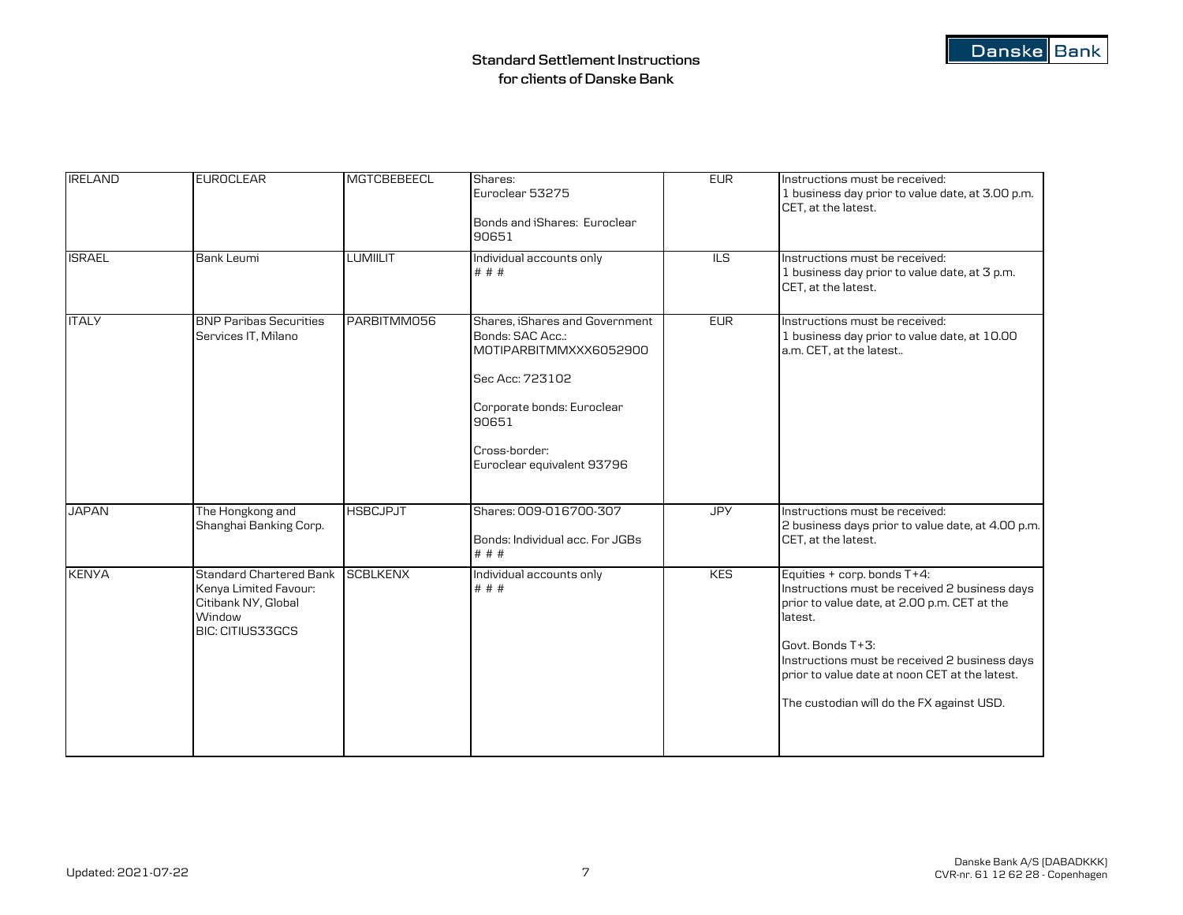| <b>IRELAND</b> | <b>EUROCLEAR</b>                                                                                             | MGTCBEBEECL     | Shares:<br>Euroclear 53275<br>Bonds and iShares: Euroclear<br>90651                                                                                                                   | <b>EUR</b> | Instructions must be received:<br>1 business day prior to value date, at 3.00 p.m.<br>CET. at the latest.                                                                                                                                                                                                   |
|----------------|--------------------------------------------------------------------------------------------------------------|-----------------|---------------------------------------------------------------------------------------------------------------------------------------------------------------------------------------|------------|-------------------------------------------------------------------------------------------------------------------------------------------------------------------------------------------------------------------------------------------------------------------------------------------------------------|
| <b>ISRAEL</b>  | Bank Leumi                                                                                                   | <b>LUMIILIT</b> | Individual accounts only<br># # #                                                                                                                                                     | ILS        | Instructions must be received:<br>1 business day prior to value date, at 3 p.m.<br>CET, at the latest.                                                                                                                                                                                                      |
| <b>ITALY</b>   | <b>BNP Paribas Securities</b><br>Services IT, Milano                                                         | PARBITMM056     | Shares, iShares and Government<br>Bonds: SAC Acc.:<br>MOTIPARBITMMXXX6052900<br>Sec Acc: 723102<br>Corporate bonds: Euroclear<br>90651<br>Cross-border:<br>Euroclear equivalent 93796 | EUR        | Instructions must be received:<br>1 business day prior to value date, at 10.00<br>a.m. CET, at the latest                                                                                                                                                                                                   |
| <b>JAPAN</b>   | The Hongkong and<br>Shanghai Banking Corp.                                                                   | <b>HSBCJPJT</b> | Shares: 009-016700-307<br>Bonds: Individual acc. For JGBs<br># # #                                                                                                                    | <b>JPY</b> | Instructions must be received:<br>2 business days prior to value date, at 4.00 p.m.<br>CET, at the latest.                                                                                                                                                                                                  |
| <b>KENYA</b>   | <b>Standard Chartered Bank</b><br>Kenya Limited Favour:<br>Citibank NY, Global<br>Window<br>BIC: CITIUS33GCS | <b>SCBLKENX</b> | Individual accounts only<br># # #                                                                                                                                                     | <b>KES</b> | Equities + corp. bonds T+4:<br>Instructions must be received 2 business days<br>prior to value date, at 2.00 p.m. CET at the<br>latest.<br>Govt. Bonds T+3:<br>Instructions must be received 2 business days<br>prior to value date at noon CET at the latest.<br>The custodian will do the FX against USD. |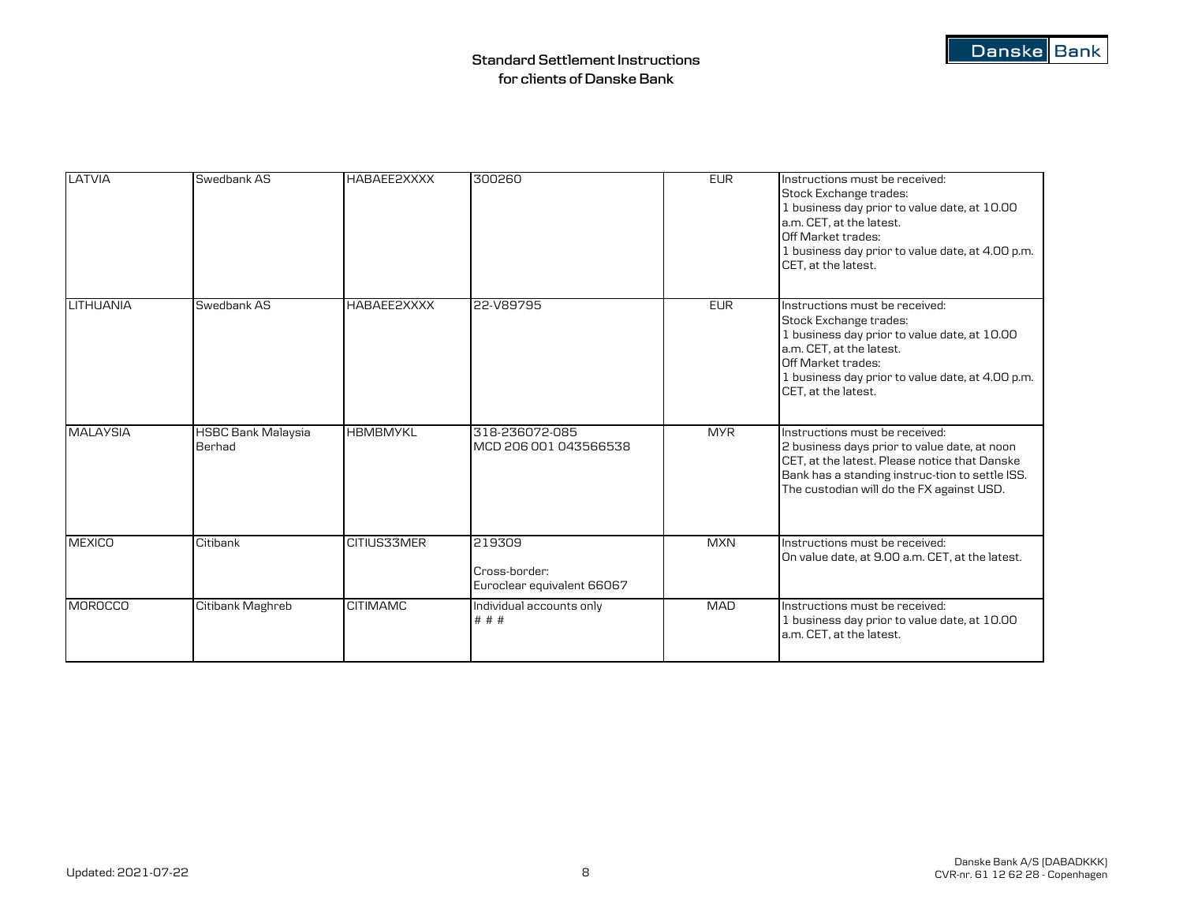| LATVIA           | Swedbank AS                         | HABAEE2XXXX     | 300260                                                | <b>EUR</b> | Instructions must be received:<br>Stock Exchange trades:<br>1 business day prior to value date, at 10.00<br>a.m. CET, at the latest.<br>Off Market trades:<br>1 business day prior to value date, at 4.00 p.m.<br>CET, at the latest. |
|------------------|-------------------------------------|-----------------|-------------------------------------------------------|------------|---------------------------------------------------------------------------------------------------------------------------------------------------------------------------------------------------------------------------------------|
| <b>LITHUANIA</b> | Swedbank AS                         | HABAEE2XXXX     | 22-V89795                                             | <b>EUR</b> | Instructions must be received:<br>Stock Exchange trades:<br>1 business day prior to value date, at 10.00<br>a.m. CET. at the latest.<br>Off Market trades:<br>1 business day prior to value date, at 4.00 p.m.<br>CET, at the latest. |
| <b>MALAYSIA</b>  | <b>HSBC Bank Malaysia</b><br>Berhad | <b>HBMBMYKL</b> | 318-236072-085<br>MCD 206 001 043566538               | <b>MYR</b> | Instructions must be received:<br>2 business days prior to value date, at noon<br>CET, at the latest. Please notice that Danske<br>Bank has a standing instruc-tion to settle ISS.<br>The custodian will do the FX against USD.       |
| <b>MEXICO</b>    | Citibank                            | CITIUS33MER     | 219309<br>Cross-border:<br>Euroclear equivalent 66067 | <b>MXN</b> | Instructions must be received:<br>On value date, at 9.00 a.m. CET, at the latest.                                                                                                                                                     |
| <b>MOROCCO</b>   | Citibank Maghreb                    | <b>CITIMAMC</b> | Individual accounts only<br># # #                     | <b>MAD</b> | Instructions must be received:<br>1 business day prior to value date, at 10.00<br>a.m. CET, at the latest.                                                                                                                            |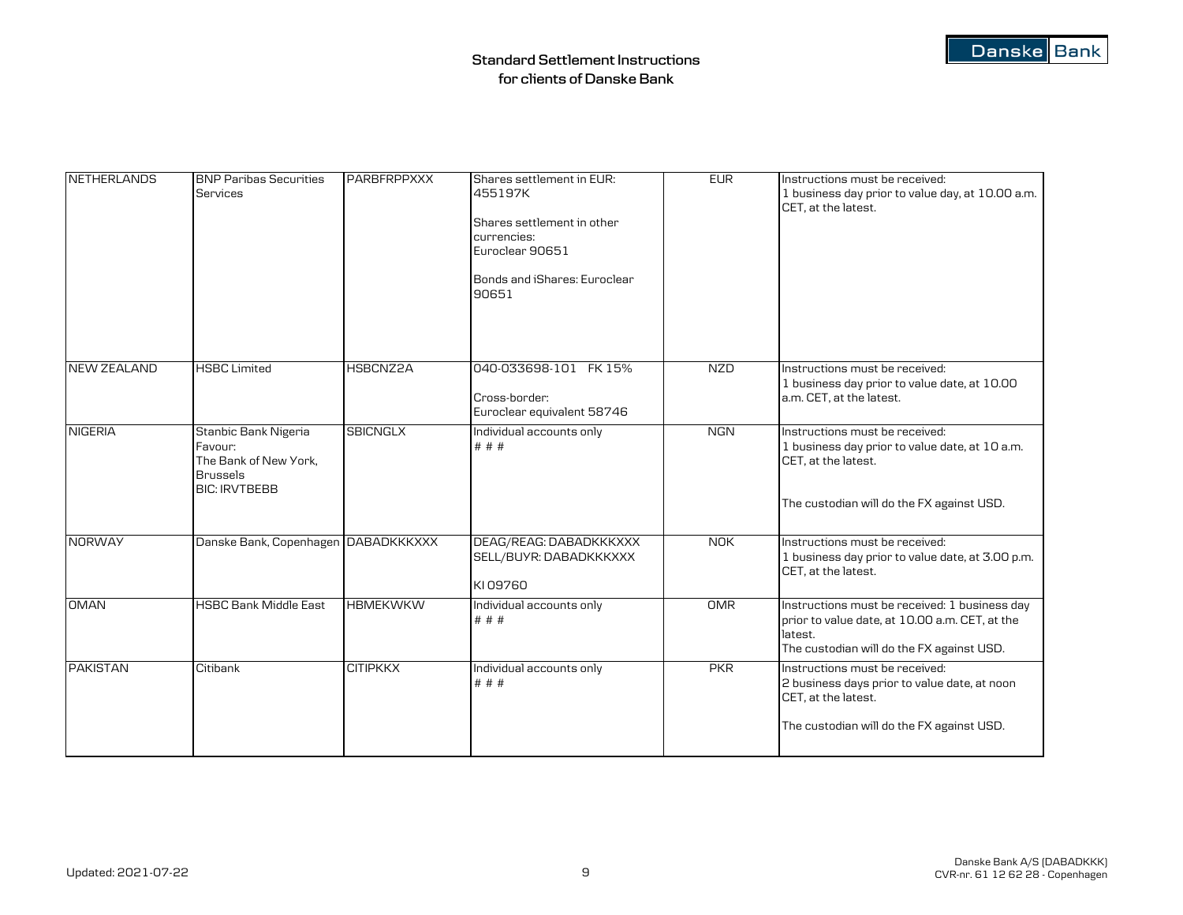| <b>NETHERLANDS</b> | <b>BNP Paribas Securities</b><br><b>Services</b>                                                    | <b>PARBFRPPXXX</b> | Shares settlement in EUR:<br>455197K<br>Shares settlement in other<br>currencies:<br>Euroclear 90651<br>Bonds and iShares: Euroclear<br>90651 | <b>EUR</b> | Instructions must be received:<br>1 business day prior to value day, at 10.00 a.m.<br>CET. at the latest.                                               |
|--------------------|-----------------------------------------------------------------------------------------------------|--------------------|-----------------------------------------------------------------------------------------------------------------------------------------------|------------|---------------------------------------------------------------------------------------------------------------------------------------------------------|
| <b>NEW ZEALAND</b> | <b>HSBC Limited</b>                                                                                 | HSBCNZ2A           | 040-033698-101 FK 15%                                                                                                                         | <b>NZD</b> | Instructions must be received:                                                                                                                          |
|                    |                                                                                                     |                    | Cross-border:<br>Euroclear equivalent 58746                                                                                                   |            | 1 business day prior to value date, at 10.00<br>a.m. CET, at the latest.                                                                                |
| <b>NIGERIA</b>     | Stanbic Bank Nigeria<br>Favour:<br>The Bank of New York,<br><b>Brussels</b><br><b>BIC: IRVTBEBB</b> | <b>SBICNGLX</b>    | Individual accounts only<br># # #                                                                                                             | <b>NGN</b> | Instructions must be received:<br>1 business day prior to value date, at 10 a.m.<br>CET, at the latest.<br>The custodian will do the FX against USD.    |
| <b>NORWAY</b>      | Danske Bank, Copenhagen DABADKKKXXX                                                                 |                    | DEAG/REAG: DABADKKKXXX<br>SELL/BUYR: DABADKKKXXX<br>KI09760                                                                                   | <b>NOK</b> | Instructions must be received:<br>1 business day prior to value date, at 3.00 p.m.<br>CET, at the latest.                                               |
| <b>OMAN</b>        | <b>HSBC Bank Middle East</b>                                                                        | <b>HBMEKWKW</b>    | Individual accounts only<br># # #                                                                                                             | OMR        | Instructions must be received: 1 business day<br>prior to value date, at 10.00 a.m. CET, at the<br>latest.<br>The custodian will do the FX against USD. |
| <b>PAKISTAN</b>    | Citibank                                                                                            | <b>CITIPKKX</b>    | Individual accounts only<br># # #                                                                                                             | PKR        | Instructions must be received:<br>2 business days prior to value date, at noon<br>CET, at the latest.<br>The custodian will do the FX against USD.      |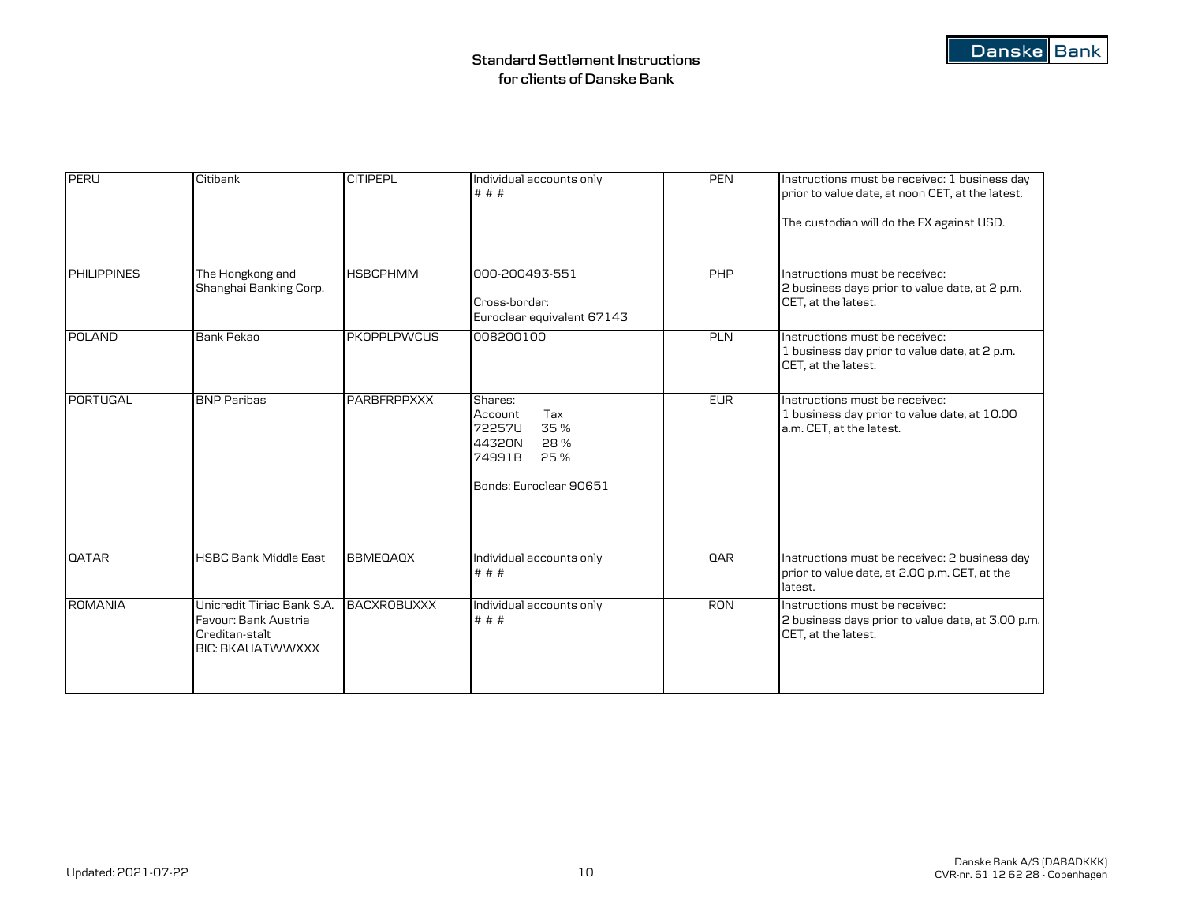| <b>PERU</b>        | Citibank                                                                                        | <b>CITIPEPL</b>    | Individual accounts only<br># # #                                                                      | <b>PEN</b> | Instructions must be received: 1 business day<br>prior to value date, at noon CET, at the latest.<br>The custodian will do the FX against USD. |
|--------------------|-------------------------------------------------------------------------------------------------|--------------------|--------------------------------------------------------------------------------------------------------|------------|------------------------------------------------------------------------------------------------------------------------------------------------|
| <b>PHILIPPINES</b> | The Hongkong and<br>Shanghai Banking Corp.                                                      | <b>HSBCPHMM</b>    | 000-200493-551<br>Cross-border:<br>Euroclear equivalent 67143                                          | PHP        | Instructions must be received:<br>2 business days prior to value date, at 2 p.m.<br>CET. at the latest.                                        |
| <b>POLAND</b>      | Bank Pekao                                                                                      | <b>PKOPPLPWCUS</b> | 008200100                                                                                              | <b>PLN</b> | Instructions must be received:<br>1 business day prior to value date, at 2 p.m.<br>CET, at the latest.                                         |
| PORTUGAL           | <b>BNP Paribas</b>                                                                              | <b>PARBFRPPXXX</b> | Shares:<br>Account<br>Tax<br>72257U<br>35%<br>44320N<br>28%<br>74991B<br>25%<br>Bonds: Euroclear 90651 | <b>EUR</b> | Instructions must be received:<br>1 business day prior to value date, at 10.00<br>a.m. CET, at the latest.                                     |
| <b>QATAR</b>       | <b>HSBC Bank Middle East</b>                                                                    | <b>BBMEQAQX</b>    | Individual accounts only<br># # #                                                                      | QAR        | Instructions must be received: 2 business day<br>prior to value date, at 2.00 p.m. CET, at the<br>latest.                                      |
| <b>ROMANIA</b>     | Unicredit Tiriac Bank S.A.<br>Favour: Bank Austria<br>Creditan-stalt<br><b>BIC: BKAUATWWXXX</b> | <b>BACXROBUXXX</b> | Individual accounts only<br># # #                                                                      | <b>RON</b> | Instructions must be received:<br>2 business days prior to value date, at 3.00 p.m.<br>CET, at the latest.                                     |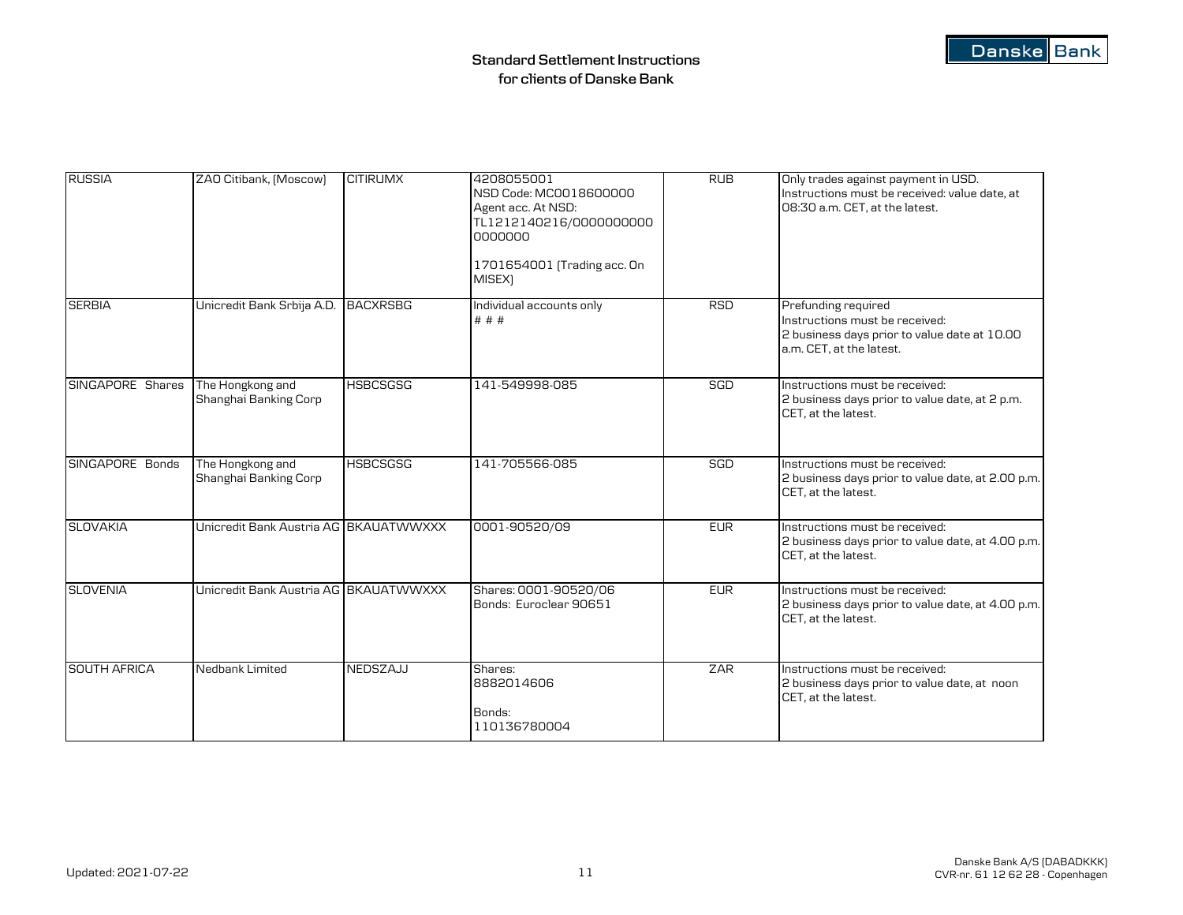| <b>RUSSIA</b>       | ZAO Citibank, [Moscow]                    | <b>CITIRUMX</b> | 4208055001<br>NSD Code: MC0018600000<br>Agent acc. At NSD:<br>TL1212140216/0000000000<br>0000000<br>1701654001 (Trading acc. On<br>MISEX) | <b>RUB</b> | Only trades against payment in USD.<br>Instructions must be received: value date, at<br>08:30 a.m. CET, at the latest.            |
|---------------------|-------------------------------------------|-----------------|-------------------------------------------------------------------------------------------------------------------------------------------|------------|-----------------------------------------------------------------------------------------------------------------------------------|
| <b>SERBIA</b>       | Unicredit Bank Srbija A.D. BACXRSBG       |                 | Individual accounts only<br># # #                                                                                                         | <b>RSD</b> | Prefunding required<br>Instructions must be received:<br>2 business days prior to value date at 10.00<br>a.m. CET, at the latest. |
| SINGAPORE Shares    | The Hongkong and<br>Shanghai Banking Corp | <b>HSBCSGSG</b> | 141-549998-085                                                                                                                            | SGD        | Instructions must be received:<br>2 business days prior to value date, at 2 p.m.<br>CET. at the latest.                           |
| SINGAPORE Bonds     | The Hongkong and<br>Shanghai Banking Corp | <b>HSBCSGSG</b> | 141-705566-085                                                                                                                            | SGD        | Instructions must be received:<br>2 business days prior to value date, at 2.00 p.m.<br>CET. at the latest.                        |
| <b>SLOVAKIA</b>     | Unicredit Bank Austria AG BKAUATWWXXX     |                 | 0001-90520/09                                                                                                                             | EUR        | Instructions must be received:<br>2 business days prior to value date, at 4.00 p.m.<br>CET, at the latest.                        |
| <b>SLOVENIA</b>     | Unicredit Bank Austria AG BKAUATWWXXX     |                 | Shares: 0001-90520/06<br>Bonds: Euroclear 90651                                                                                           | <b>EUR</b> | Instructions must be received:<br>2 business days prior to value date, at 4.00 p.m.<br>CET, at the latest.                        |
| <b>SOUTH AFRICA</b> | Nedbank Limited                           | NEDSZAJJ        | Shares:<br>8882014606<br>Bonds:<br>110136780004                                                                                           | ZAR        | Instructions must be received:<br>2 business days prior to value date, at noon<br>CET, at the latest.                             |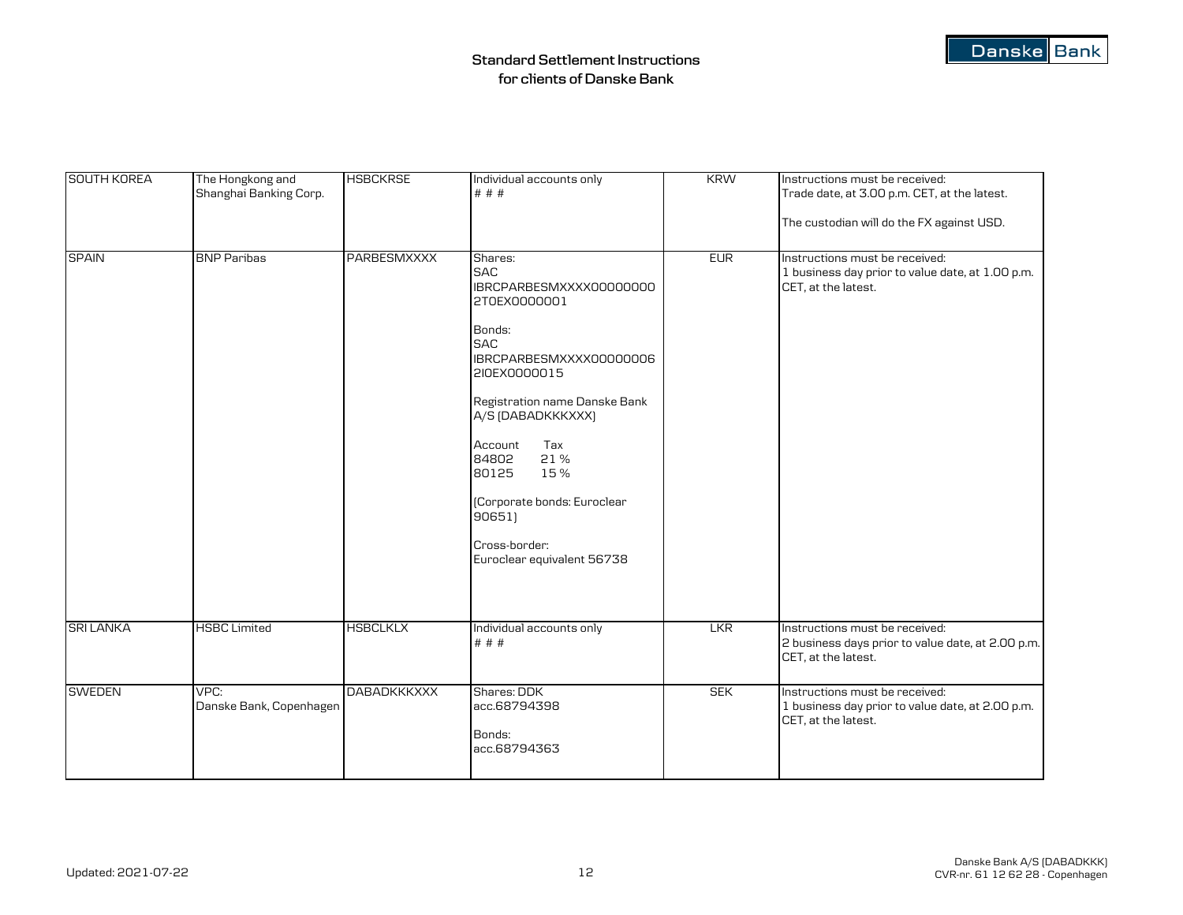| Danske Bank |  |
|-------------|--|
|-------------|--|

| <b>SOUTH KOREA</b> | The Hongkong and<br>Shanghai Banking Corp. | <b>HSBCKRSE</b>    | Individual accounts only<br># # #                                                                                                                                                                                                                                                                                                   | <b>KRW</b> | Instructions must be received:<br>Trade date, at 3.00 p.m. CET, at the latest.<br>The custodian will do the FX against USD. |
|--------------------|--------------------------------------------|--------------------|-------------------------------------------------------------------------------------------------------------------------------------------------------------------------------------------------------------------------------------------------------------------------------------------------------------------------------------|------------|-----------------------------------------------------------------------------------------------------------------------------|
| <b>SPAIN</b>       | <b>BNP Paribas</b>                         | PARBESMXXXX        | Shares:<br><b>SAC</b><br>IBRCPARBESMXXXX00000000<br>2T0EX0000001<br>Bonds:<br><b>SAC</b><br>IBRCPARBESMXXXX00000006<br>2I0EX0000015<br>Registration name Danske Bank<br>A/S (DABADKKKXXX)<br>Tax<br>Account<br>84802<br>21%<br>15%<br>80125<br>(Corporate bonds: Euroclear<br>906511<br>Cross-border:<br>Euroclear equivalent 56738 | <b>EUR</b> | Instructions must be received:<br>1 business day prior to value date, at 1.00 p.m.<br>CET, at the latest.                   |
| <b>SRI LANKA</b>   | <b>HSBC Limited</b>                        | <b>HSBCLKLX</b>    | Individual accounts only<br># # #                                                                                                                                                                                                                                                                                                   | <b>LKR</b> | Instructions must be received:<br>2 business days prior to value date, at 2.00 p.m.<br>CET, at the latest.                  |
| <b>SWEDEN</b>      | VPC:<br>Danske Bank, Copenhagen            | <b>DABADKKKXXX</b> | Shares: DDK<br>acc.68794398<br>Bonds:<br>acc.68794363                                                                                                                                                                                                                                                                               | <b>SEK</b> | Instructions must be received:<br>1 business day prior to value date, at 2.00 p.m.<br>CET, at the latest.                   |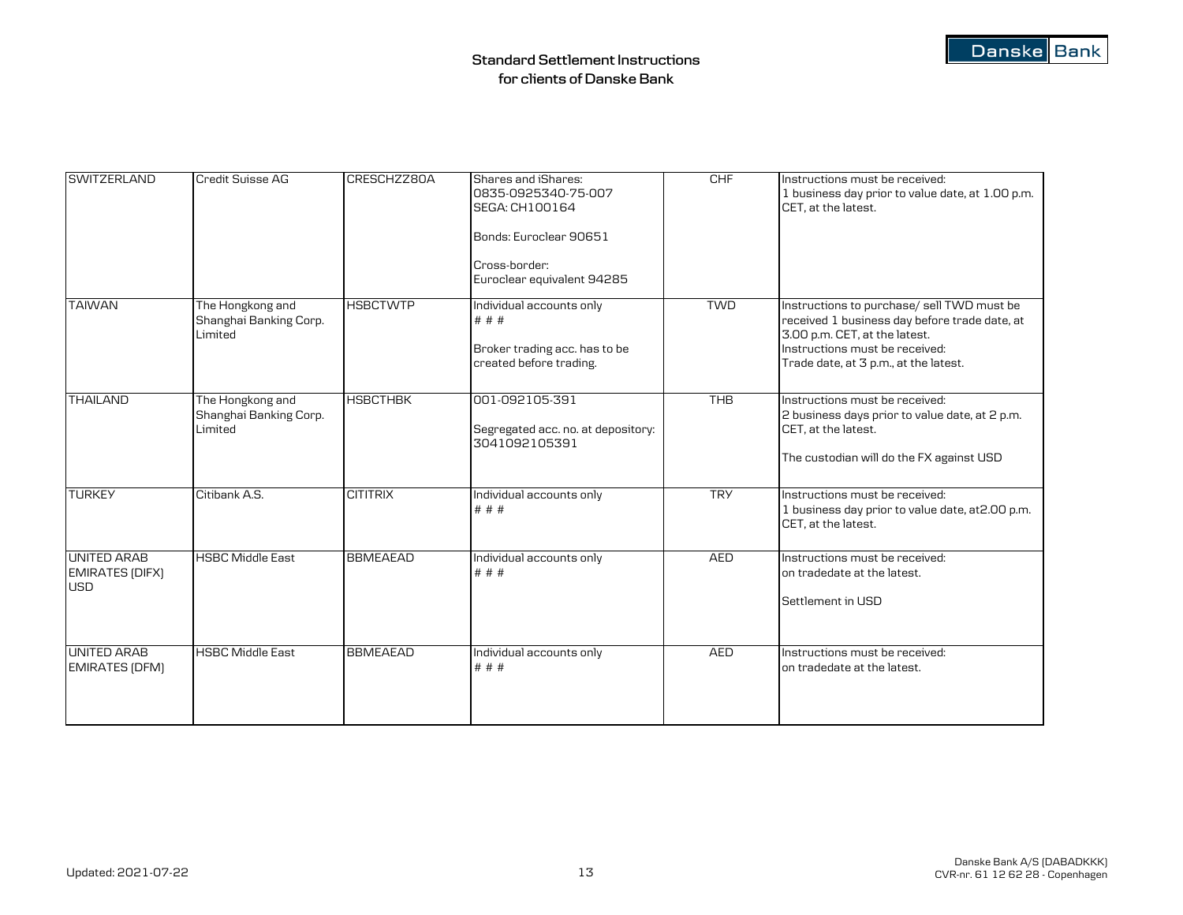| <b>SWITZERLAND</b>                                         | Credit Suisse AG                                      | CRESCHZZ80A     | Shares and iShares:<br>0835-0925340-75-007<br>SEGA: CH100164<br>Bonds: Euroclear 90651<br>Cross-border:<br>Euroclear equivalent 94285 | CHF        | Instructions must be received:<br>1 business day prior to value date, at 1.00 p.m.<br>CET, at the latest.                                                                                               |
|------------------------------------------------------------|-------------------------------------------------------|-----------------|---------------------------------------------------------------------------------------------------------------------------------------|------------|---------------------------------------------------------------------------------------------------------------------------------------------------------------------------------------------------------|
| <b>TAIWAN</b>                                              | The Hongkong and<br>Shanghai Banking Corp.<br>Limited | <b>HSBCTWTP</b> | Individual accounts only<br># # #<br>Broker trading acc. has to be<br>created before trading.                                         | <b>TWD</b> | Instructions to purchase/ sell TWD must be<br>received 1 business day before trade date, at<br>3.00 p.m. CET, at the latest.<br>Instructions must be received:<br>Trade date, at 3 p.m., at the latest. |
| <b>THAILAND</b>                                            | The Hongkong and<br>Shanghai Banking Corp.<br>Limited | <b>HSBCTHBK</b> | 001-092105-391<br>Segregated acc. no. at depository:<br>3041092105391                                                                 | <b>THB</b> | Instructions must be received:<br>2 business days prior to value date, at 2 p.m.<br>CET, at the latest.<br>The custodian will do the FX against USD                                                     |
| <b>TURKEY</b>                                              | Citibank A.S.                                         | <b>CITITRIX</b> | Individual accounts only<br># # #                                                                                                     | <b>TRY</b> | Instructions must be received:<br>1 business day prior to value date, at 2.00 p.m.<br>CET, at the latest.                                                                                               |
| <b>UNITED ARAB</b><br><b>EMIRATES (DIFX)</b><br><b>USD</b> | <b>HSBC Middle East</b>                               | <b>BBMEAEAD</b> | Individual accounts only<br># # #                                                                                                     | <b>AED</b> | Instructions must be received:<br>on tradedate at the latest.<br>Settlement in USD                                                                                                                      |
| <b>UNITED ARAB</b><br><b>EMIRATES (DFM)</b>                | <b>HSBC Middle East</b>                               | <b>BBMEAEAD</b> | Individual accounts only<br># # #                                                                                                     | <b>AED</b> | Instructions must be received:<br>on tradedate at the latest.                                                                                                                                           |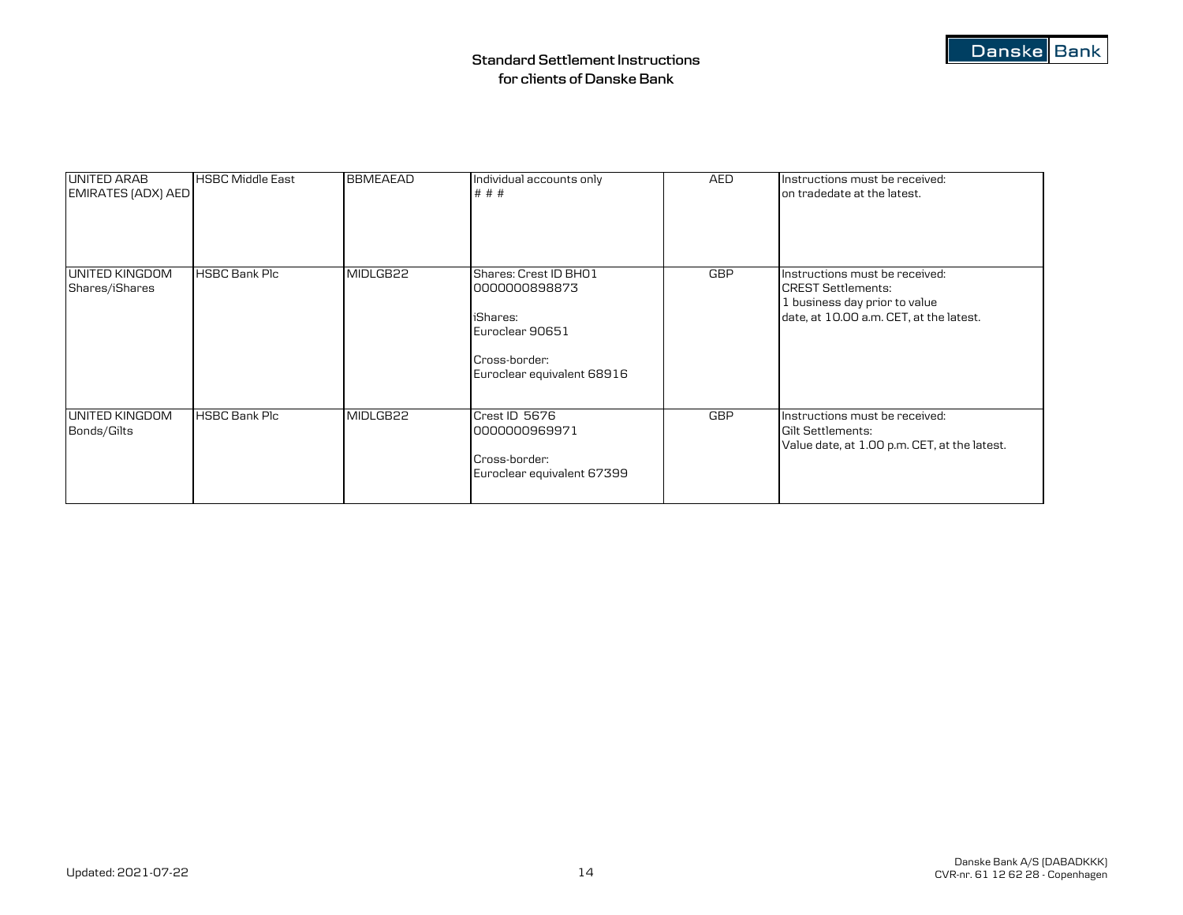| <b>UNITED ARAB</b><br>EMIRATES (ADX) AED | <b>HSBC Middle East</b> | <b>BBMEAEAD</b> | Individual accounts only<br># # #                                                                                    | AED        | Instructions must be received:<br>on tradedate at the latest.                                                                           |
|------------------------------------------|-------------------------|-----------------|----------------------------------------------------------------------------------------------------------------------|------------|-----------------------------------------------------------------------------------------------------------------------------------------|
| UNITED KINGDOM<br>Shares/iShares         | <b>HSBC Bank Plc</b>    | MIDLGB22        | Shares: Crest ID BH01<br>0000000898873<br>iShares:<br>Euroclear 90651<br>Cross-border:<br>Euroclear equivalent 68916 | <b>GBP</b> | Instructions must be received:<br><b>CREST Settlements:</b><br>1 business day prior to value<br>date, at 10.00 a.m. CET, at the latest. |
| UNITED KINGDOM<br>Bonds/Gilts            | <b>HSBC Bank Plc</b>    | MIDLGB22        | Crest ID 5676<br>0000000969971<br>Cross-border:<br>Euroclear equivalent 67399                                        | GBP        | Instructions must be received:<br>Gilt Settlements:<br>Value date, at 1.00 p.m. CET, at the latest.                                     |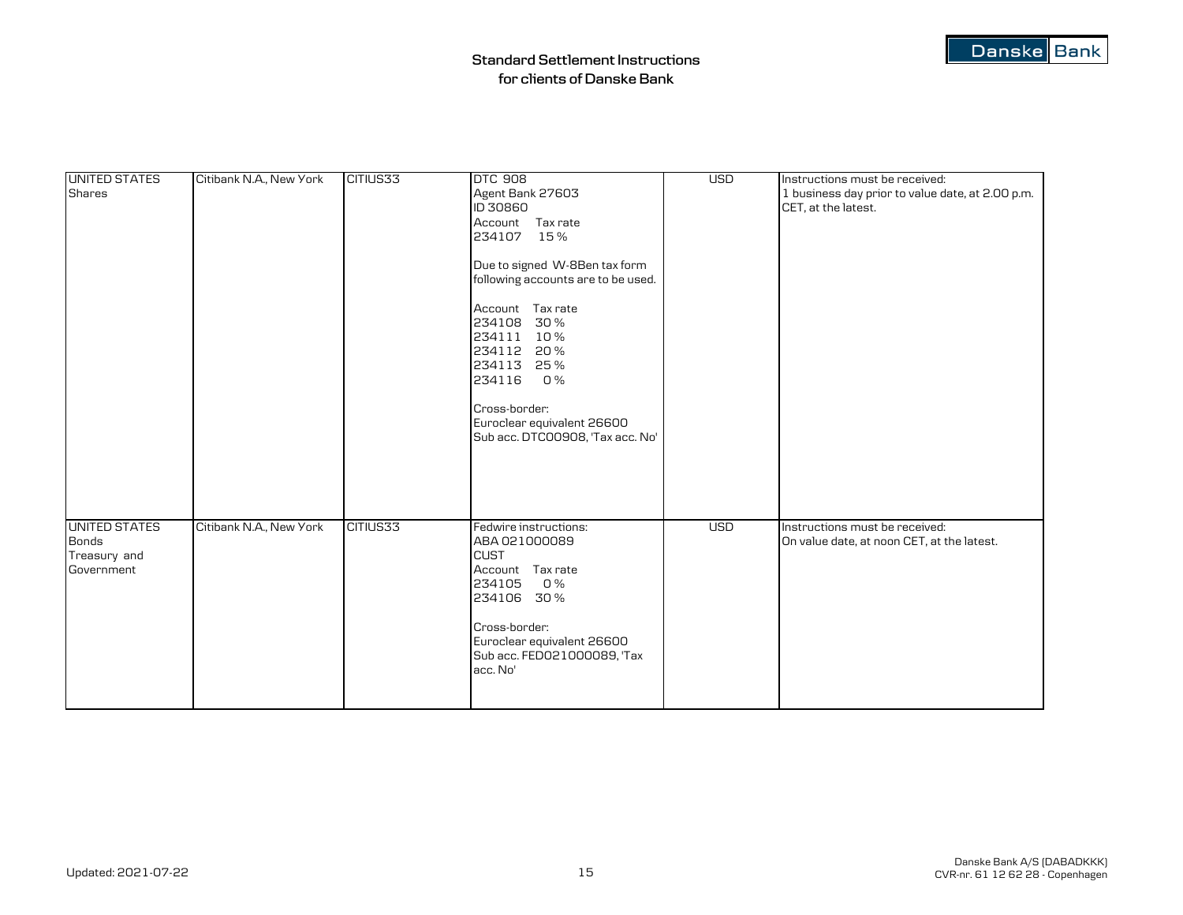| <b>UNITED STATES</b><br><b>Shares</b>                              | Citibank N.A., New York | CITIUS33 | <b>DTC 908</b><br>Agent Bank 27603<br>ID 30860<br>Account Tax rate<br>234107 15%                                                                                                                                                                              | <b>USD</b> | Instructions must be received:<br>1 business day prior to value date, at 2.00 p.m.<br>CET, at the latest. |
|--------------------------------------------------------------------|-------------------------|----------|---------------------------------------------------------------------------------------------------------------------------------------------------------------------------------------------------------------------------------------------------------------|------------|-----------------------------------------------------------------------------------------------------------|
|                                                                    |                         |          | Due to signed W-8Ben tax form<br>following accounts are to be used.<br>Account Tax rate<br>234108<br>30%<br>234111 10%<br>234112<br>20%<br>234113<br>25 %<br>234116<br>O %<br>Cross-border:<br>Euroclear equivalent 26600<br>Sub acc. DTC00908, 'Tax acc. No' |            |                                                                                                           |
|                                                                    |                         |          |                                                                                                                                                                                                                                                               |            |                                                                                                           |
| <b>UNITED STATES</b><br><b>Bonds</b><br>Treasury and<br>Government | Citibank N.A., New York | CITIUS33 | Fedwire instructions:<br>ABA 021000089<br><b>CUST</b><br>Account Tax rate<br>234105<br><b>0%</b><br>234106 30%<br>Cross-border:<br>Euroclear equivalent 26600<br>Sub acc. FED021000089, 'Tax<br>acc. No'                                                      | <b>USD</b> | Instructions must be received:<br>On value date, at noon CET, at the latest.                              |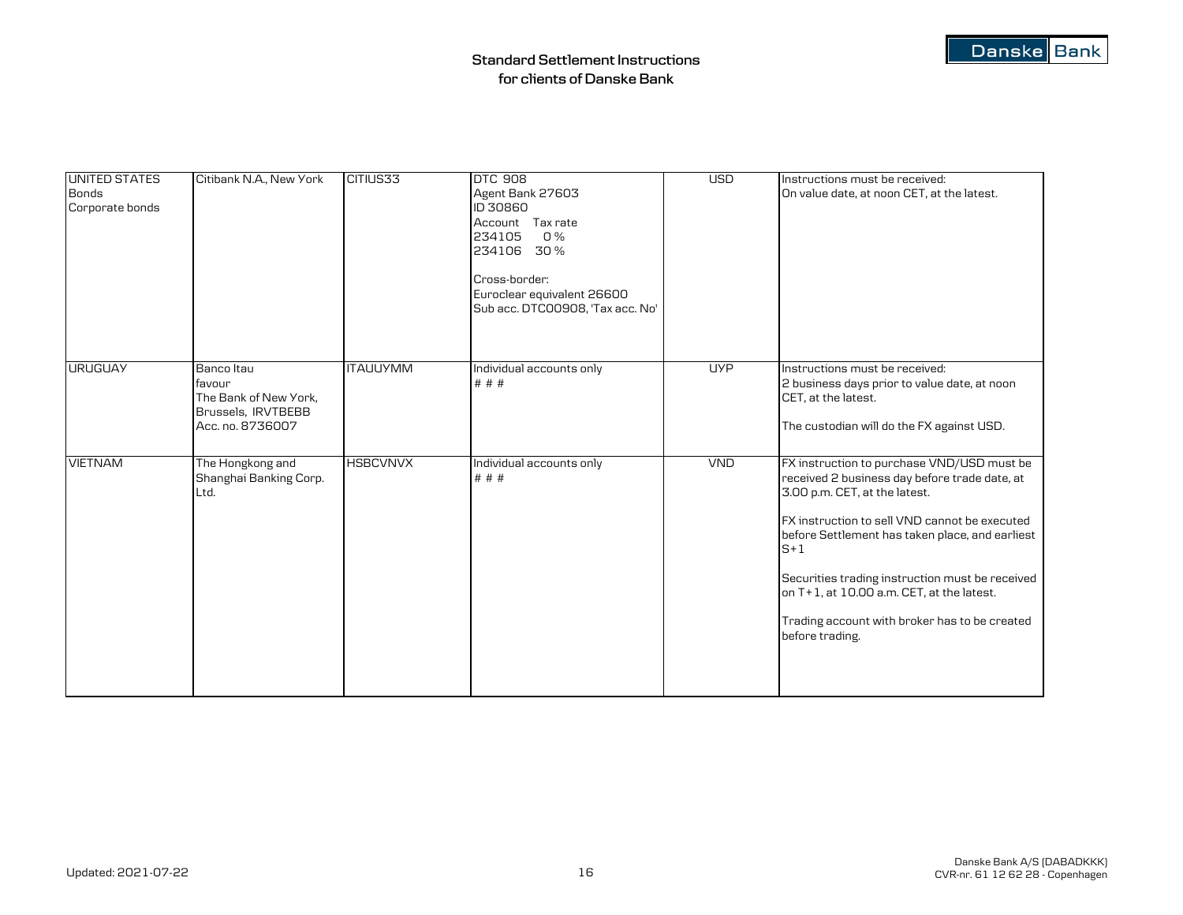| <b>UNITED STATES</b><br><b>Bonds</b><br>Corporate bonds | Citibank N.A., New York                                                                 | CITIUS33        | <b>DTC 908</b><br>Agent Bank 27603<br>ID 30860<br>Account Tax rate<br>234105<br>O%<br>234106 30%<br>Cross-border:<br>Euroclear equivalent 26600<br>Sub acc. DTC00908, 'Tax acc. No' | <b>USD</b> | Instructions must be received:<br>On value date, at noon CET, at the latest.                                                                                                                                                                                                                                                                                                                                  |
|---------------------------------------------------------|-----------------------------------------------------------------------------------------|-----------------|-------------------------------------------------------------------------------------------------------------------------------------------------------------------------------------|------------|---------------------------------------------------------------------------------------------------------------------------------------------------------------------------------------------------------------------------------------------------------------------------------------------------------------------------------------------------------------------------------------------------------------|
| <b>URUGUAY</b>                                          | Banco Itau<br>favour<br>The Bank of New York,<br>Brussels, IRVTBEBB<br>Acc. no. 8736007 | <b>ITAUUYMM</b> | Individual accounts only<br># # #                                                                                                                                                   | <b>UYP</b> | Instructions must be received:<br>2 business days prior to value date, at noon<br>CET, at the latest.<br>The custodian will do the FX against USD.                                                                                                                                                                                                                                                            |
| <b>VIETNAM</b>                                          | The Hongkong and<br>Shanghai Banking Corp.<br>Ltd.                                      | <b>HSBCVNVX</b> | Individual accounts only<br># # #                                                                                                                                                   | <b>VND</b> | FX instruction to purchase VND/USD must be<br>received 2 business day before trade date, at<br>3.00 p.m. CET, at the latest.<br>FX instruction to sell VND cannot be executed<br>before Settlement has taken place, and earliest<br>$S+1$<br>Securities trading instruction must be received<br>on T+1, at 10.00 a.m. CET, at the latest.<br>Trading account with broker has to be created<br>before trading. |